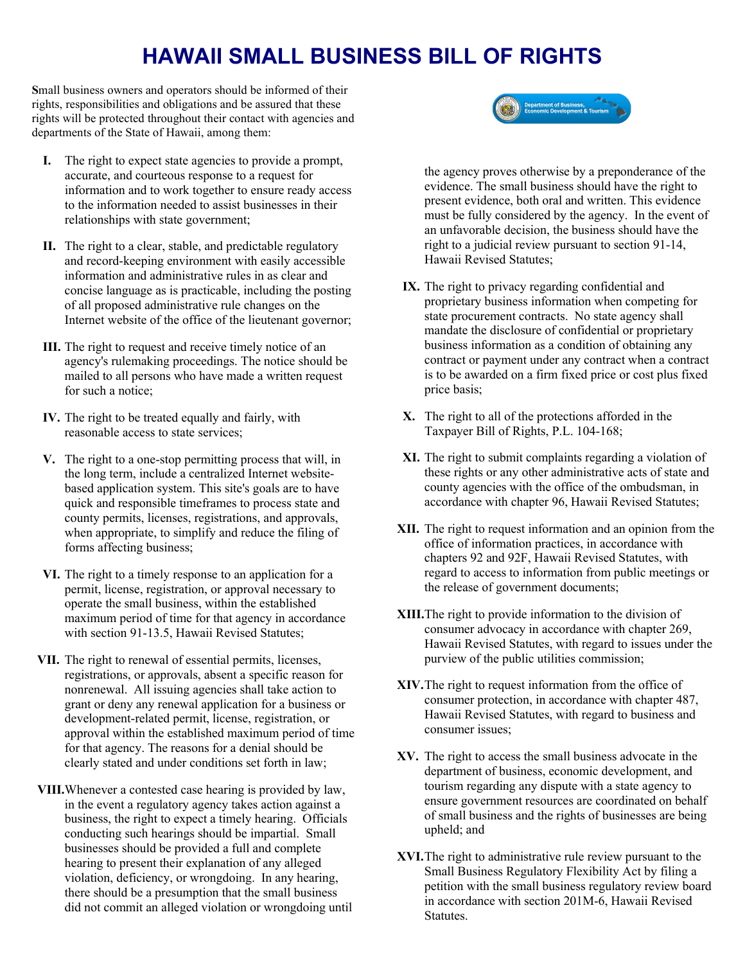## **HAWAII SMALL BUSINESS BILL OF RIGHTS**

**S**mall business owners and operators should be informed of their rights, responsibilities and obligations and be assured that these rights will be protected throughout their contact with agencies and departments of the State of Hawaii, among them:

- **I.** The right to expect state agencies to provide a prompt, accurate, and courteous response to a request for information and to work together to ensure ready access to the information needed to assist businesses in their relationships with state government;
- **II.** The right to a clear, stable, and predictable regulatory and record-keeping environment with easily accessible information and administrative rules in as clear and concise language as is practicable, including the posting of all proposed administrative rule changes on the Internet website of the office of the lieutenant governor;
- **III.** The right to request and receive timely notice of an agency's rulemaking proceedings. The notice should be mailed to all persons who have made a written request for such a notice;
- **IV.** The right to be treated equally and fairly, with reasonable access to state services;
- **V.** The right to a one-stop permitting process that will, in the long term, include a centralized Internet websitebased application system. This site's goals are to have quick and responsible timeframes to process state and county permits, licenses, registrations, and approvals, when appropriate, to simplify and reduce the filing of forms affecting business;
- **VI.** The right to a timely response to an application for a permit, license, registration, or approval necessary to operate the small business, within the established maximum period of time for that agency in accordance with section 91-13.5, Hawaii Revised Statutes;
- **VII.** The right to renewal of essential permits, licenses, registrations, or approvals, absent a specific reason for nonrenewal. All issuing agencies shall take action to grant or deny any renewal application for a business or development-related permit, license, registration, or approval within the established maximum period of time for that agency. The reasons for a denial should be clearly stated and under conditions set forth in law;
- **VIII.**Whenever a contested case hearing is provided by law, in the event a regulatory agency takes action against a business, the right to expect a timely hearing. Officials conducting such hearings should be impartial. Small businesses should be provided a full and complete hearing to present their explanation of any alleged violation, deficiency, or wrongdoing. In any hearing, there should be a presumption that the small business did not commit an alleged violation or wrongdoing until



the agency proves otherwise by a preponderance of the evidence. The small business should have the right to present evidence, both oral and written. This evidence must be fully considered by the agency. In the event of an unfavorable decision, the business should have the right to a judicial review pursuant to section 91-14, Hawaii Revised Statutes;

- **IX.** The right to privacy regarding confidential and proprietary business information when competing for state procurement contracts. No state agency shall mandate the disclosure of confidential or proprietary business information as a condition of obtaining any contract or payment under any contract when a contract is to be awarded on a firm fixed price or cost plus fixed price basis;
- **X.** The right to all of the protections afforded in the Taxpayer Bill of Rights, P.L. 104-168;
- **XI.** The right to submit complaints regarding a violation of these rights or any other administrative acts of state and county agencies with the office of the ombudsman, in accordance with chapter 96, Hawaii Revised Statutes;
- **XII.** The right to request information and an opinion from the office of information practices, in accordance with chapters 92 and 92F, Hawaii Revised Statutes, with regard to access to information from public meetings or the release of government documents;
- **XIII.**The right to provide information to the division of consumer advocacy in accordance with chapter 269, Hawaii Revised Statutes, with regard to issues under the purview of the public utilities commission;
- **XIV.**The right to request information from the office of consumer protection, in accordance with chapter 487, Hawaii Revised Statutes, with regard to business and consumer issues;
- **XV.** The right to access the small business advocate in the department of business, economic development, and tourism regarding any dispute with a state agency to ensure government resources are coordinated on behalf of small business and the rights of businesses are being upheld; and
- **XVI.**The right to administrative rule review pursuant to the Small Business Regulatory Flexibility Act by filing a petition with the small business regulatory review board in accordance with section 201M-6, Hawaii Revised Statutes.